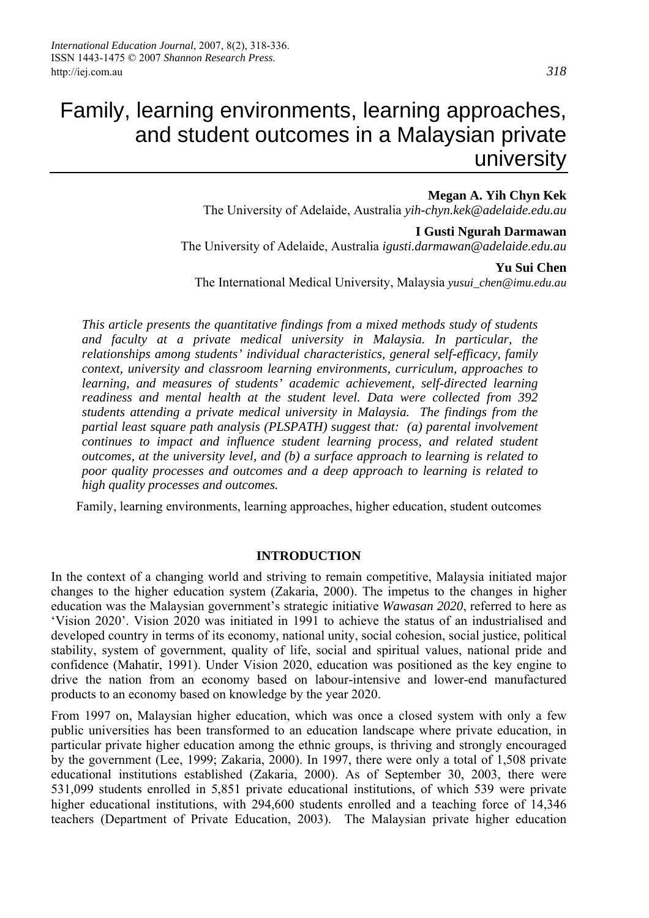# Family, learning environments, learning approaches, and student outcomes in a Malaysian private university

#### **Megan A. Yih Chyn Kek**

The University of Adelaide, Australia *yih-chyn.kek@adelaide.edu.au*

#### **I Gusti Ngurah Darmawan**

The University of Adelaide, Australia *igusti.darmawan@adelaide.edu.au*

#### **Yu Sui Chen**

The International Medical University, Malaysia *yusui\_chen@imu.edu.au*

*This article presents the quantitative findings from a mixed methods study of students and faculty at a private medical university in Malaysia. In particular, the relationships among students' individual characteristics, general self-efficacy, family context, university and classroom learning environments, curriculum, approaches to learning, and measures of students' academic achievement, self-directed learning readiness and mental health at the student level. Data were collected from 392 students attending a private medical university in Malaysia. The findings from the partial least square path analysis (PLSPATH) suggest that: (a) parental involvement continues to impact and influence student learning process, and related student outcomes, at the university level, and (b) a surface approach to learning is related to poor quality processes and outcomes and a deep approach to learning is related to high quality processes and outcomes.* 

Family, learning environments, learning approaches, higher education, student outcomes

#### **INTRODUCTION**

In the context of a changing world and striving to remain competitive, Malaysia initiated major changes to the higher education system (Zakaria, 2000). The impetus to the changes in higher education was the Malaysian government's strategic initiative *Wawasan 2020*, referred to here as 'Vision 2020'. Vision 2020 was initiated in 1991 to achieve the status of an industrialised and developed country in terms of its economy, national unity, social cohesion, social justice, political stability, system of government, quality of life, social and spiritual values, national pride and confidence (Mahatir, 1991). Under Vision 2020, education was positioned as the key engine to drive the nation from an economy based on labour-intensive and lower-end manufactured products to an economy based on knowledge by the year 2020.

From 1997 on, Malaysian higher education, which was once a closed system with only a few public universities has been transformed to an education landscape where private education, in particular private higher education among the ethnic groups, is thriving and strongly encouraged by the government (Lee, 1999; Zakaria, 2000). In 1997, there were only a total of 1,508 private educational institutions established (Zakaria, 2000). As of September 30, 2003, there were 531,099 students enrolled in 5,851 private educational institutions, of which 539 were private higher educational institutions, with 294,600 students enrolled and a teaching force of 14,346 teachers (Department of Private Education, 2003). The Malaysian private higher education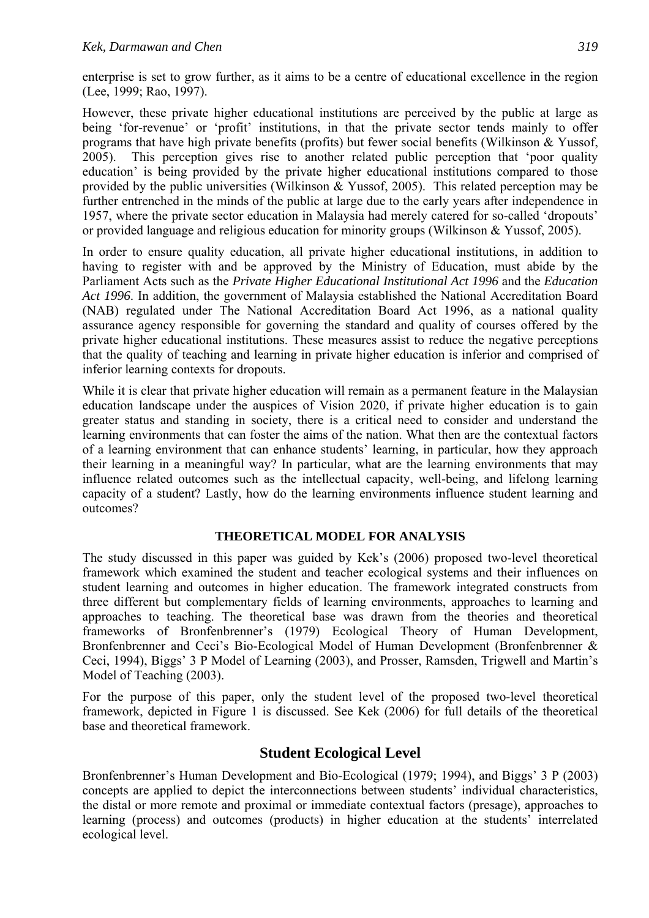enterprise is set to grow further, as it aims to be a centre of educational excellence in the region (Lee, 1999; Rao, 1997).

However, these private higher educational institutions are perceived by the public at large as being 'for-revenue' or 'profit' institutions, in that the private sector tends mainly to offer programs that have high private benefits (profits) but fewer social benefits (Wilkinson & Yussof, 2005). This perception gives rise to another related public perception that 'poor quality education' is being provided by the private higher educational institutions compared to those provided by the public universities (Wilkinson & Yussof, 2005). This related perception may be further entrenched in the minds of the public at large due to the early years after independence in 1957, where the private sector education in Malaysia had merely catered for so-called 'dropouts' or provided language and religious education for minority groups (Wilkinson & Yussof, 2005).

In order to ensure quality education, all private higher educational institutions, in addition to having to register with and be approved by the Ministry of Education, must abide by the Parliament Acts such as the *Private Higher Educational Institutional Act 1996* and the *Education Act 1996*. In addition, the government of Malaysia established the National Accreditation Board (NAB) regulated under The National Accreditation Board Act 1996, as a national quality assurance agency responsible for governing the standard and quality of courses offered by the private higher educational institutions. These measures assist to reduce the negative perceptions that the quality of teaching and learning in private higher education is inferior and comprised of inferior learning contexts for dropouts.

While it is clear that private higher education will remain as a permanent feature in the Malaysian education landscape under the auspices of Vision 2020, if private higher education is to gain greater status and standing in society, there is a critical need to consider and understand the learning environments that can foster the aims of the nation. What then are the contextual factors of a learning environment that can enhance students' learning, in particular, how they approach their learning in a meaningful way? In particular, what are the learning environments that may influence related outcomes such as the intellectual capacity, well-being, and lifelong learning capacity of a student? Lastly, how do the learning environments influence student learning and outcomes?

#### **THEORETICAL MODEL FOR ANALYSIS**

The study discussed in this paper was guided by Kek's (2006) proposed two-level theoretical framework which examined the student and teacher ecological systems and their influences on student learning and outcomes in higher education. The framework integrated constructs from three different but complementary fields of learning environments, approaches to learning and approaches to teaching. The theoretical base was drawn from the theories and theoretical frameworks of Bronfenbrenner's (1979) Ecological Theory of Human Development, Bronfenbrenner and Ceci's Bio-Ecological Model of Human Development (Bronfenbrenner & Ceci, 1994), Biggs' 3 P Model of Learning (2003), and Prosser, Ramsden, Trigwell and Martin's Model of Teaching (2003).

For the purpose of this paper, only the student level of the proposed two-level theoretical framework, depicted in Figure 1 is discussed. See Kek (2006) for full details of the theoretical base and theoretical framework.

### **Student Ecological Level**

Bronfenbrenner's Human Development and Bio-Ecological (1979; 1994), and Biggs' 3 P (2003) concepts are applied to depict the interconnections between students' individual characteristics, the distal or more remote and proximal or immediate contextual factors (presage), approaches to learning (process) and outcomes (products) in higher education at the students' interrelated ecological level.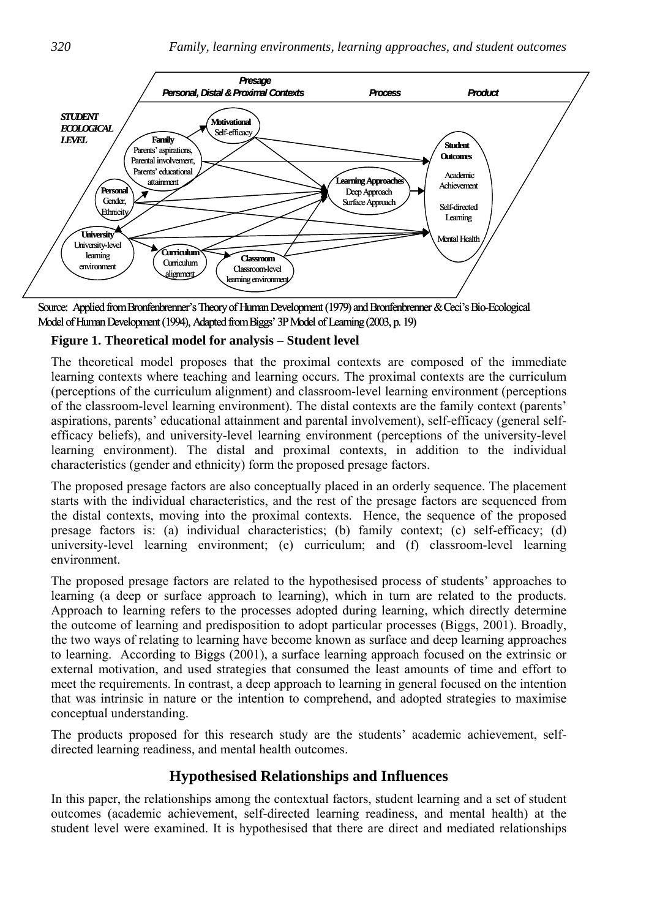

Source: Applied from Bronfenbrenner's Theory of Human Development (1979) and Bronfenbrenner & Ceci's Bio-Ecological Model of Human Development (1994), Adapted from Biggs' 3P Model of Learning (2003, p. 19)

#### **Figure 1. Theoretical model for analysis – Student level**

The theoretical model proposes that the proximal contexts are composed of the immediate learning contexts where teaching and learning occurs. The proximal contexts are the curriculum (perceptions of the curriculum alignment) and classroom-level learning environment (perceptions of the classroom-level learning environment). The distal contexts are the family context (parents' aspirations, parents' educational attainment and parental involvement), self-efficacy (general selfefficacy beliefs), and university-level learning environment (perceptions of the university-level learning environment). The distal and proximal contexts, in addition to the individual characteristics (gender and ethnicity) form the proposed presage factors.

The proposed presage factors are also conceptually placed in an orderly sequence. The placement starts with the individual characteristics, and the rest of the presage factors are sequenced from the distal contexts, moving into the proximal contexts. Hence, the sequence of the proposed presage factors is: (a) individual characteristics; (b) family context; (c) self-efficacy; (d) university-level learning environment; (e) curriculum; and (f) classroom-level learning environment.

The proposed presage factors are related to the hypothesised process of students' approaches to learning (a deep or surface approach to learning), which in turn are related to the products. Approach to learning refers to the processes adopted during learning, which directly determine the outcome of learning and predisposition to adopt particular processes (Biggs, 2001). Broadly, the two ways of relating to learning have become known as surface and deep learning approaches to learning. According to Biggs (2001), a surface learning approach focused on the extrinsic or external motivation, and used strategies that consumed the least amounts of time and effort to meet the requirements. In contrast, a deep approach to learning in general focused on the intention that was intrinsic in nature or the intention to comprehend, and adopted strategies to maximise conceptual understanding.

The products proposed for this research study are the students' academic achievement, selfdirected learning readiness, and mental health outcomes.

### **Hypothesised Relationships and Influences**

In this paper, the relationships among the contextual factors, student learning and a set of student outcomes (academic achievement, self-directed learning readiness, and mental health) at the student level were examined. It is hypothesised that there are direct and mediated relationships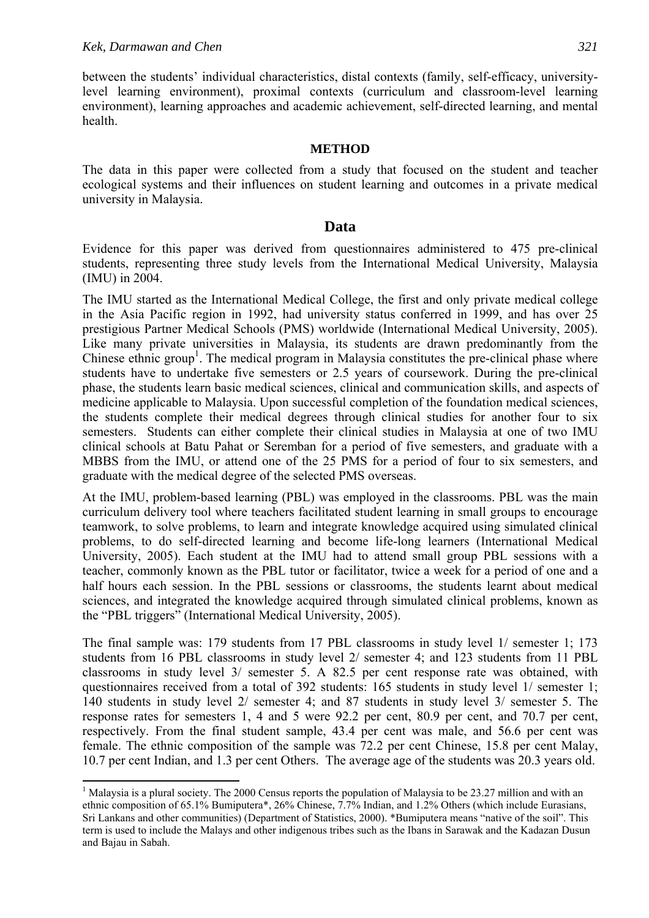$\overline{a}$ 

between the students' individual characteristics, distal contexts (family, self-efficacy, universitylevel learning environment), proximal contexts (curriculum and classroom-level learning environment), learning approaches and academic achievement, self-directed learning, and mental health.

#### **METHOD**

The data in this paper were collected from a study that focused on the student and teacher ecological systems and their influences on student learning and outcomes in a private medical university in Malaysia.

#### **Data**

Evidence for this paper was derived from questionnaires administered to 475 pre-clinical students, representing three study levels from the International Medical University, Malaysia (IMU) in 2004.

The IMU started as the International Medical College, the first and only private medical college in the Asia Pacific region in 1992, had university status conferred in 1999, and has over 25 prestigious Partner Medical Schools (PMS) worldwide (International Medical University, 2005). Like many private universities in Malaysia, its students are drawn predominantly from the Chinese ethnic group<sup>1</sup>. The medical program in Malaysia constitutes the pre-clinical phase where students have to undertake five semesters or 2.5 years of coursework. During the pre-clinical phase, the students learn basic medical sciences, clinical and communication skills, and aspects of medicine applicable to Malaysia. Upon successful completion of the foundation medical sciences, the students complete their medical degrees through clinical studies for another four to six semesters. Students can either complete their clinical studies in Malaysia at one of two IMU clinical schools at Batu Pahat or Seremban for a period of five semesters, and graduate with a MBBS from the IMU, or attend one of the 25 PMS for a period of four to six semesters, and graduate with the medical degree of the selected PMS overseas.

At the IMU, problem-based learning (PBL) was employed in the classrooms. PBL was the main curriculum delivery tool where teachers facilitated student learning in small groups to encourage teamwork, to solve problems, to learn and integrate knowledge acquired using simulated clinical problems, to do self-directed learning and become life-long learners (International Medical University, 2005). Each student at the IMU had to attend small group PBL sessions with a teacher, commonly known as the PBL tutor or facilitator, twice a week for a period of one and a half hours each session. In the PBL sessions or classrooms, the students learnt about medical sciences, and integrated the knowledge acquired through simulated clinical problems, known as the "PBL triggers" (International Medical University, 2005).

The final sample was: 179 students from 17 PBL classrooms in study level 1/ semester 1; 173 students from 16 PBL classrooms in study level 2/ semester 4; and 123 students from 11 PBL classrooms in study level 3/ semester 5. A 82.5 per cent response rate was obtained, with questionnaires received from a total of 392 students: 165 students in study level 1/ semester 1; 140 students in study level 2/ semester 4; and 87 students in study level 3/ semester 5. The response rates for semesters 1, 4 and 5 were 92.2 per cent, 80.9 per cent, and 70.7 per cent, respectively. From the final student sample, 43.4 per cent was male, and 56.6 per cent was female. The ethnic composition of the sample was 72.2 per cent Chinese, 15.8 per cent Malay, 10.7 per cent Indian, and 1.3 per cent Others. The average age of the students was 20.3 years old.

<sup>&</sup>lt;sup>1</sup> Malaysia is a plural society. The 2000 Census reports the population of Malaysia to be 23.27 million and with an ethnic composition of 65.1% Bumiputera\*, 26% Chinese, 7.7% Indian, and 1.2% Others (which include Eurasians, Sri Lankans and other communities) (Department of Statistics, 2000). \*Bumiputera means "native of the soil". This term is used to include the Malays and other indigenous tribes such as the Ibans in Sarawak and the Kadazan Dusun and Bajau in Sabah.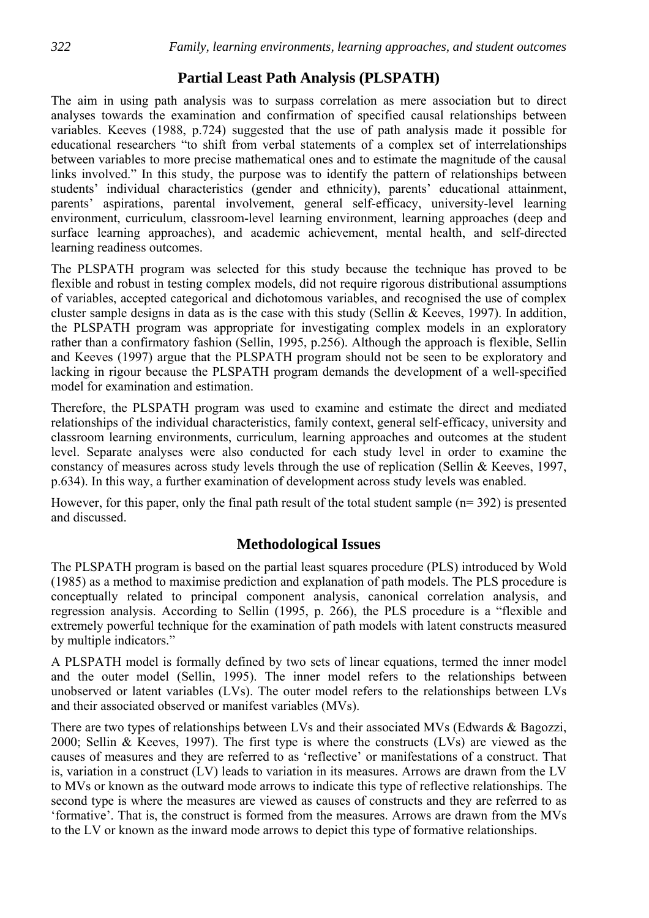# **Partial Least Path Analysis (PLSPATH)**

The aim in using path analysis was to surpass correlation as mere association but to direct analyses towards the examination and confirmation of specified causal relationships between variables. Keeves (1988, p.724) suggested that the use of path analysis made it possible for educational researchers "to shift from verbal statements of a complex set of interrelationships between variables to more precise mathematical ones and to estimate the magnitude of the causal links involved." In this study, the purpose was to identify the pattern of relationships between students' individual characteristics (gender and ethnicity), parents' educational attainment, parents' aspirations, parental involvement, general self-efficacy, university-level learning environment, curriculum, classroom-level learning environment, learning approaches (deep and surface learning approaches), and academic achievement, mental health, and self-directed learning readiness outcomes.

The PLSPATH program was selected for this study because the technique has proved to be flexible and robust in testing complex models, did not require rigorous distributional assumptions of variables, accepted categorical and dichotomous variables, and recognised the use of complex cluster sample designs in data as is the case with this study (Sellin & Keeves, 1997). In addition, the PLSPATH program was appropriate for investigating complex models in an exploratory rather than a confirmatory fashion (Sellin, 1995, p.256). Although the approach is flexible, Sellin and Keeves (1997) argue that the PLSPATH program should not be seen to be exploratory and lacking in rigour because the PLSPATH program demands the development of a well-specified model for examination and estimation.

Therefore, the PLSPATH program was used to examine and estimate the direct and mediated relationships of the individual characteristics, family context, general self-efficacy, university and classroom learning environments, curriculum, learning approaches and outcomes at the student level. Separate analyses were also conducted for each study level in order to examine the constancy of measures across study levels through the use of replication (Sellin & Keeves, 1997, p.634). In this way, a further examination of development across study levels was enabled.

However, for this paper, only the final path result of the total student sample (n= 392) is presented and discussed.

### **Methodological Issues**

The PLSPATH program is based on the partial least squares procedure (PLS) introduced by Wold (1985) as a method to maximise prediction and explanation of path models. The PLS procedure is conceptually related to principal component analysis, canonical correlation analysis, and regression analysis. According to Sellin (1995, p. 266), the PLS procedure is a "flexible and extremely powerful technique for the examination of path models with latent constructs measured by multiple indicators."

A PLSPATH model is formally defined by two sets of linear equations, termed the inner model and the outer model (Sellin, 1995). The inner model refers to the relationships between unobserved or latent variables (LVs). The outer model refers to the relationships between LVs and their associated observed or manifest variables (MVs).

There are two types of relationships between LVs and their associated MVs (Edwards & Bagozzi, 2000; Sellin & Keeves, 1997). The first type is where the constructs (LVs) are viewed as the causes of measures and they are referred to as 'reflective' or manifestations of a construct. That is, variation in a construct (LV) leads to variation in its measures. Arrows are drawn from the LV to MVs or known as the outward mode arrows to indicate this type of reflective relationships. The second type is where the measures are viewed as causes of constructs and they are referred to as 'formative'. That is, the construct is formed from the measures. Arrows are drawn from the MVs to the LV or known as the inward mode arrows to depict this type of formative relationships.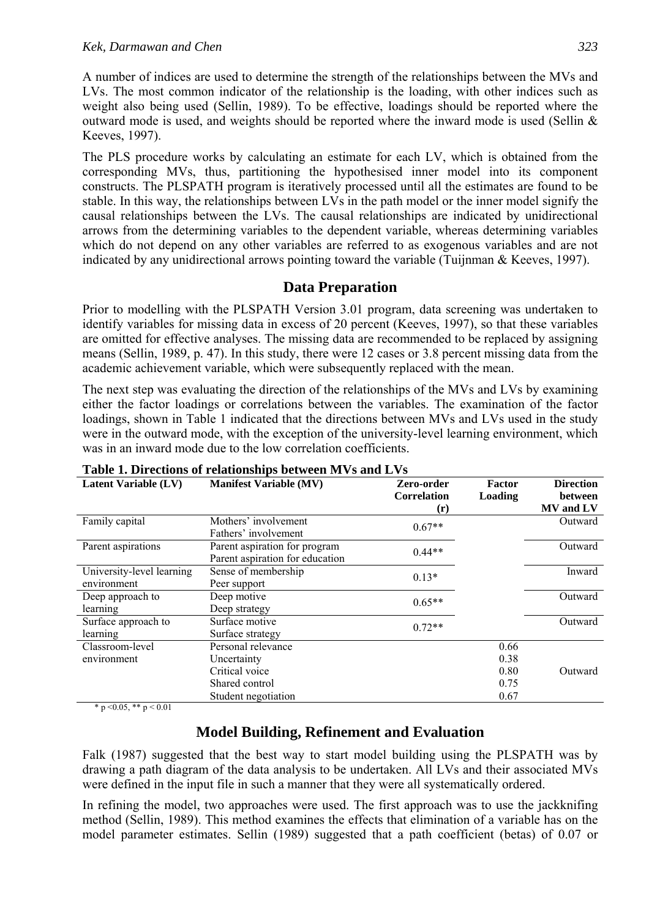A number of indices are used to determine the strength of the relationships between the MVs and LVs. The most common indicator of the relationship is the loading, with other indices such as weight also being used (Sellin, 1989). To be effective, loadings should be reported where the outward mode is used, and weights should be reported where the inward mode is used (Sellin & Keeves, 1997).

The PLS procedure works by calculating an estimate for each LV, which is obtained from the corresponding MVs, thus, partitioning the hypothesised inner model into its component constructs. The PLSPATH program is iteratively processed until all the estimates are found to be stable. In this way, the relationships between LVs in the path model or the inner model signify the causal relationships between the LVs. The causal relationships are indicated by unidirectional arrows from the determining variables to the dependent variable, whereas determining variables which do not depend on any other variables are referred to as exogenous variables and are not indicated by any unidirectional arrows pointing toward the variable (Tuijnman & Keeves, 1997).

### **Data Preparation**

Prior to modelling with the PLSPATH Version 3.01 program, data screening was undertaken to identify variables for missing data in excess of 20 percent (Keeves, 1997), so that these variables are omitted for effective analyses. The missing data are recommended to be replaced by assigning means (Sellin, 1989, p. 47). In this study, there were 12 cases or 3.8 percent missing data from the academic achievement variable, which were subsequently replaced with the mean.

The next step was evaluating the direction of the relationships of the MVs and LVs by examining either the factor loadings or correlations between the variables. The examination of the factor loadings, shown in Table 1 indicated that the directions between MVs and LVs used in the study were in the outward mode, with the exception of the university-level learning environment, which was in an inward mode due to the low correlation coefficients.

|                             | Lable 1. Directions of relationships between MVs and LVs |                    |         |                  |
|-----------------------------|----------------------------------------------------------|--------------------|---------|------------------|
| <b>Latent Variable (LV)</b> | <b>Manifest Variable (MV)</b>                            | Zero-order         | Factor  | <b>Direction</b> |
|                             |                                                          | <b>Correlation</b> | Loading | between          |
|                             |                                                          | $(\mathbf{r})$     |         | <b>MV</b> and LV |
| Family capital              | Mothers' involvement                                     | $0.67**$           |         | Outward          |
|                             | Fathers' involvement                                     |                    |         |                  |
| Parent aspirations          | Parent aspiration for program                            | $0.44**$           |         | Outward          |
|                             | Parent aspiration for education                          |                    |         |                  |
| University-level learning   | Sense of membership                                      | $0.13*$            |         | Inward           |
| environment                 | Peer support                                             |                    |         |                  |
| Deep approach to            | Deep motive                                              | $0.65**$           |         | Outward          |
| learning                    | Deep strategy                                            |                    |         |                  |
| Surface approach to         | Surface motive                                           | $0.72**$           |         | Outward          |
| learning                    | Surface strategy                                         |                    |         |                  |
| Classroom-level             | Personal relevance                                       |                    | 0.66    |                  |
| environment                 | Uncertainty                                              |                    | 0.38    |                  |
|                             | Critical voice                                           |                    | 0.80    | Outward          |
|                             | Shared control                                           |                    | 0.75    |                  |
|                             | Student negotiation                                      |                    | 0.67    |                  |

#### **Table 1. Directions of relationships between MVs and LVs**

\* p < 0.05, \*\* p < 0.01

### **Model Building, Refinement and Evaluation**

Falk (1987) suggested that the best way to start model building using the PLSPATH was by drawing a path diagram of the data analysis to be undertaken. All LVs and their associated MVs were defined in the input file in such a manner that they were all systematically ordered.

In refining the model, two approaches were used. The first approach was to use the jackknifing method (Sellin, 1989). This method examines the effects that elimination of a variable has on the model parameter estimates. Sellin (1989) suggested that a path coefficient (betas) of 0.07 or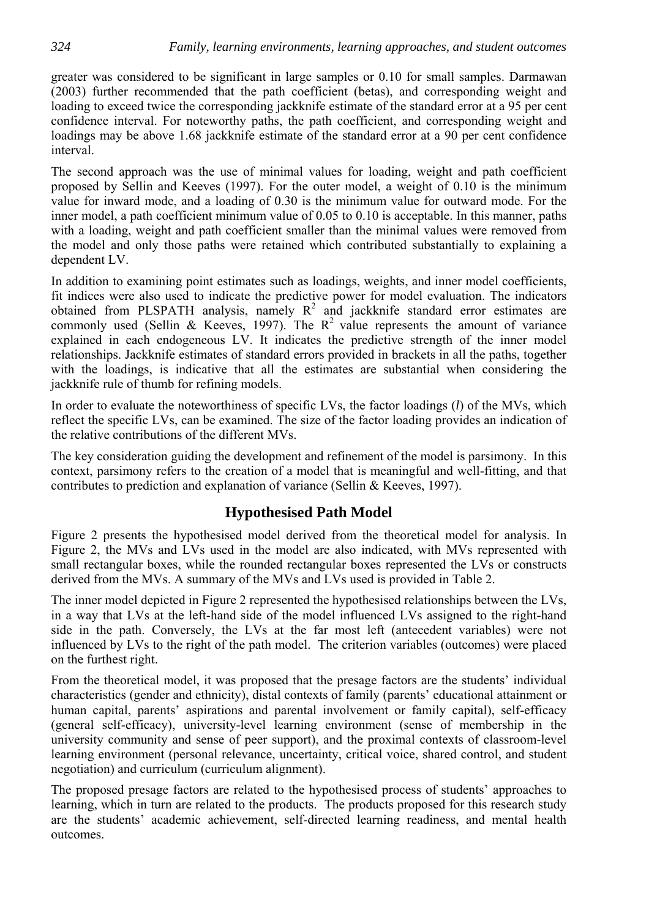greater was considered to be significant in large samples or 0.10 for small samples. Darmawan (2003) further recommended that the path coefficient (betas), and corresponding weight and loading to exceed twice the corresponding jackknife estimate of the standard error at a 95 per cent confidence interval. For noteworthy paths, the path coefficient, and corresponding weight and loadings may be above 1.68 jackknife estimate of the standard error at a 90 per cent confidence interval.

The second approach was the use of minimal values for loading, weight and path coefficient proposed by Sellin and Keeves (1997). For the outer model, a weight of 0.10 is the minimum value for inward mode, and a loading of 0.30 is the minimum value for outward mode. For the inner model, a path coefficient minimum value of 0.05 to 0.10 is acceptable. In this manner, paths with a loading, weight and path coefficient smaller than the minimal values were removed from the model and only those paths were retained which contributed substantially to explaining a dependent LV.

In addition to examining point estimates such as loadings, weights, and inner model coefficients, fit indices were also used to indicate the predictive power for model evaluation. The indicators obtained from PLSPATH analysis, namely  $R^2$  and jackknife standard error estimates are commonly used (Sellin & Keeves, 1997). The  $R^2$  value represents the amount of variance explained in each endogeneous LV. It indicates the predictive strength of the inner model relationships. Jackknife estimates of standard errors provided in brackets in all the paths, together with the loadings, is indicative that all the estimates are substantial when considering the jackknife rule of thumb for refining models.

In order to evaluate the noteworthiness of specific LVs, the factor loadings (*l*) of the MVs, which reflect the specific LVs, can be examined. The size of the factor loading provides an indication of the relative contributions of the different MVs.

The key consideration guiding the development and refinement of the model is parsimony. In this context, parsimony refers to the creation of a model that is meaningful and well-fitting, and that contributes to prediction and explanation of variance (Sellin & Keeves, 1997).

### **Hypothesised Path Model**

Figure 2 presents the hypothesised model derived from the theoretical model for analysis. In Figure 2, the MVs and LVs used in the model are also indicated, with MVs represented with small rectangular boxes, while the rounded rectangular boxes represented the LVs or constructs derived from the MVs. A summary of the MVs and LVs used is provided in Table 2.

The inner model depicted in Figure 2 represented the hypothesised relationships between the LVs, in a way that LVs at the left-hand side of the model influenced LVs assigned to the right-hand side in the path. Conversely, the LVs at the far most left (antecedent variables) were not influenced by LVs to the right of the path model. The criterion variables (outcomes) were placed on the furthest right.

From the theoretical model, it was proposed that the presage factors are the students' individual characteristics (gender and ethnicity), distal contexts of family (parents' educational attainment or human capital, parents' aspirations and parental involvement or family capital), self-efficacy (general self-efficacy), university-level learning environment (sense of membership in the university community and sense of peer support), and the proximal contexts of classroom-level learning environment (personal relevance, uncertainty, critical voice, shared control, and student negotiation) and curriculum (curriculum alignment).

The proposed presage factors are related to the hypothesised process of students' approaches to learning, which in turn are related to the products. The products proposed for this research study are the students' academic achievement, self-directed learning readiness, and mental health outcomes.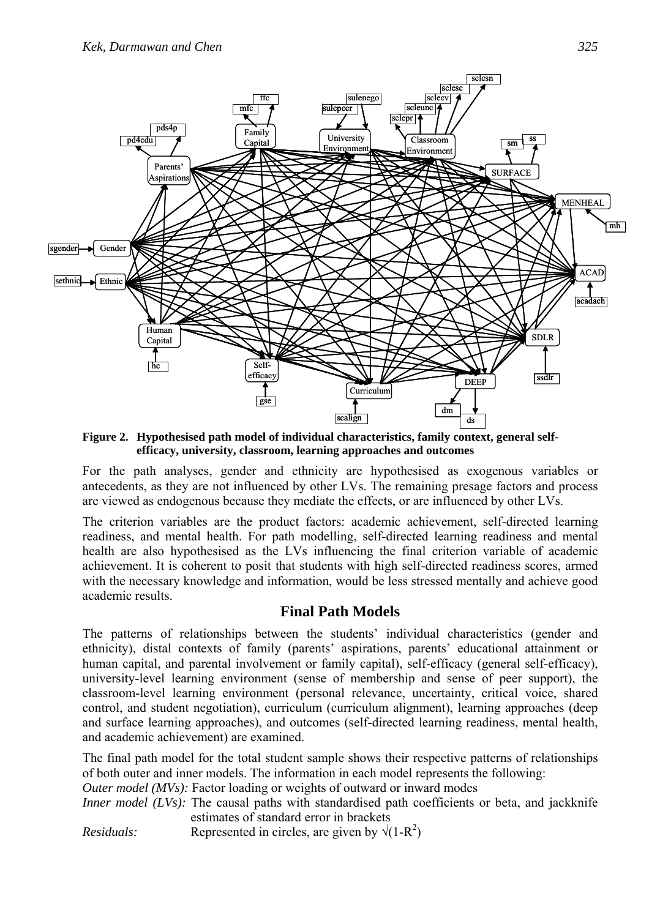

**Figure 2. Hypothesised path model of individual characteristics, family context, general selfefficacy, university, classroom, learning approaches and outcomes** 

For the path analyses, gender and ethnicity are hypothesised as exogenous variables or antecedents, as they are not influenced by other LVs. The remaining presage factors and process are viewed as endogenous because they mediate the effects, or are influenced by other LVs.

The criterion variables are the product factors: academic achievement, self-directed learning readiness, and mental health. For path modelling, self-directed learning readiness and mental health are also hypothesised as the LVs influencing the final criterion variable of academic achievement. It is coherent to posit that students with high self-directed readiness scores, armed with the necessary knowledge and information, would be less stressed mentally and achieve good academic results.

### **Final Path Models**

The patterns of relationships between the students' individual characteristics (gender and ethnicity), distal contexts of family (parents' aspirations, parents' educational attainment or human capital, and parental involvement or family capital), self-efficacy (general self-efficacy), university-level learning environment (sense of membership and sense of peer support), the classroom-level learning environment (personal relevance, uncertainty, critical voice, shared control, and student negotiation), curriculum (curriculum alignment), learning approaches (deep and surface learning approaches), and outcomes (self-directed learning readiness, mental health, and academic achievement) are examined.

The final path model for the total student sample shows their respective patterns of relationships of both outer and inner models. The information in each model represents the following:

*Outer model* (*MVs*): Factor loading or weights of outward or inward modes

*Inner model (LVs)*: The causal paths with standardised path coefficients or beta, and jackknife estimates of standard error in brackets *Residuals:* Represented in circles, are given by  $\sqrt{(1-R^2)}$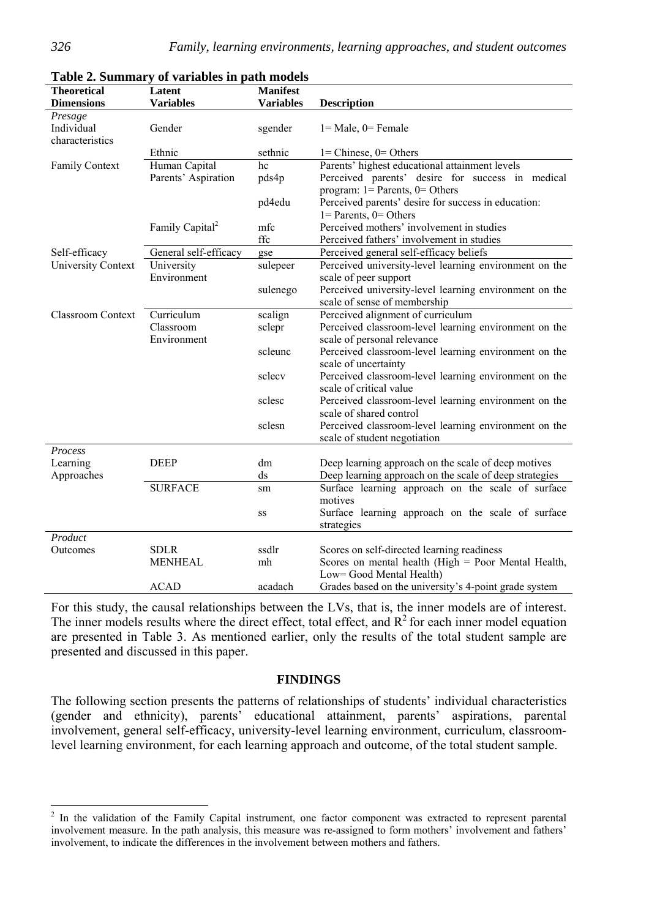|                           | Table 2. Summary or variables in path models |                  |                                                        |
|---------------------------|----------------------------------------------|------------------|--------------------------------------------------------|
| <b>Theoretical</b>        | Latent                                       | <b>Manifest</b>  |                                                        |
| <b>Dimensions</b>         | <b>Variables</b>                             | <b>Variables</b> | <b>Description</b>                                     |
| Presage                   |                                              |                  |                                                        |
| Individual                | Gender                                       | sgender          | $1 = Male$ , $0 = Female$                              |
| characteristics           |                                              |                  |                                                        |
|                           | Ethnic                                       | sethnic          | $1 =$ Chinese, $0 =$ Others                            |
| Family Context            | Human Capital                                | $\overline{hc}$  | Parents' highest educational attainment levels         |
|                           | Parents' Aspiration                          | pds4p            | Perceived parents' desire for success in medical       |
|                           |                                              |                  | program: $1 =$ Parents, $0 =$ Others                   |
|                           |                                              | pd4edu           | Perceived parents' desire for success in education:    |
|                           |                                              |                  | $1 =$ Parents, $0 =$ Others                            |
|                           | Family Capital <sup>2</sup>                  | mfc              | Perceived mothers' involvement in studies              |
|                           |                                              | ffc              | Perceived fathers' involvement in studies              |
| Self-efficacy             | General self-efficacy                        | gse              | Perceived general self-efficacy beliefs                |
| <b>University Context</b> | University                                   | sulepeer         | Perceived university-level learning environment on the |
|                           | Environment                                  |                  | scale of peer support                                  |
|                           |                                              | sulenego         | Perceived university-level learning environment on the |
|                           |                                              |                  | scale of sense of membership                           |
| <b>Classroom Context</b>  | Curriculum                                   | scalign          | Perceived alignment of curriculum                      |
|                           | Classroom                                    | sclepr           | Perceived classroom-level learning environment on the  |
|                           | Environment                                  |                  | scale of personal relevance                            |
|                           |                                              | scleunc          | Perceived classroom-level learning environment on the  |
|                           |                                              |                  | scale of uncertainty                                   |
|                           |                                              | sclecy           | Perceived classroom-level learning environment on the  |
|                           |                                              |                  | scale of critical value                                |
|                           |                                              | sclesc           | Perceived classroom-level learning environment on the  |
|                           |                                              |                  | scale of shared control                                |
|                           |                                              | sclesn           | Perceived classroom-level learning environment on the  |
|                           |                                              |                  | scale of student negotiation                           |
| Process                   |                                              |                  |                                                        |
| Learning                  | <b>DEEP</b>                                  | dm               | Deep learning approach on the scale of deep motives    |
| Approaches                |                                              | ds               | Deep learning approach on the scale of deep strategies |
|                           | <b>SURFACE</b>                               | sm               | Surface learning approach on the scale of surface      |
|                           |                                              |                  | motives                                                |
|                           |                                              | SS               | Surface learning approach on the scale of surface      |
|                           |                                              |                  | strategies                                             |
| Product                   |                                              |                  |                                                        |
| Outcomes                  | <b>SDLR</b>                                  | ssdlr            | Scores on self-directed learning readiness             |
|                           | <b>MENHEAL</b>                               | mh               | Scores on mental health (High = Poor Mental Health,    |
|                           |                                              |                  | Low= Good Mental Health)                               |
|                           | <b>ACAD</b>                                  | acadach          | Grades based on the university's 4-point grade system  |

#### **Table 2. Summary of variables in path models**

For this study, the causal relationships between the LVs, that is, the inner models are of interest. The inner models results where the direct effect, total effect, and  $R^2$  for each inner model equation are presented in Table 3. As mentioned earlier, only the results of the total student sample are presented and discussed in this paper.

#### **FINDINGS**

The following section presents the patterns of relationships of students' individual characteristics (gender and ethnicity), parents' educational attainment, parents' aspirations, parental involvement, general self-efficacy, university-level learning environment, curriculum, classroomlevel learning environment, for each learning approach and outcome, of the total student sample.

<sup>&</sup>lt;sup>2</sup> In the validation of the Family Capital instrument, one factor component was extracted to represent parental involvement measure. In the path analysis, this measure was re-assigned to form mothers' involvement and fathers' involvement, to indicate the differences in the involvement between mothers and fathers.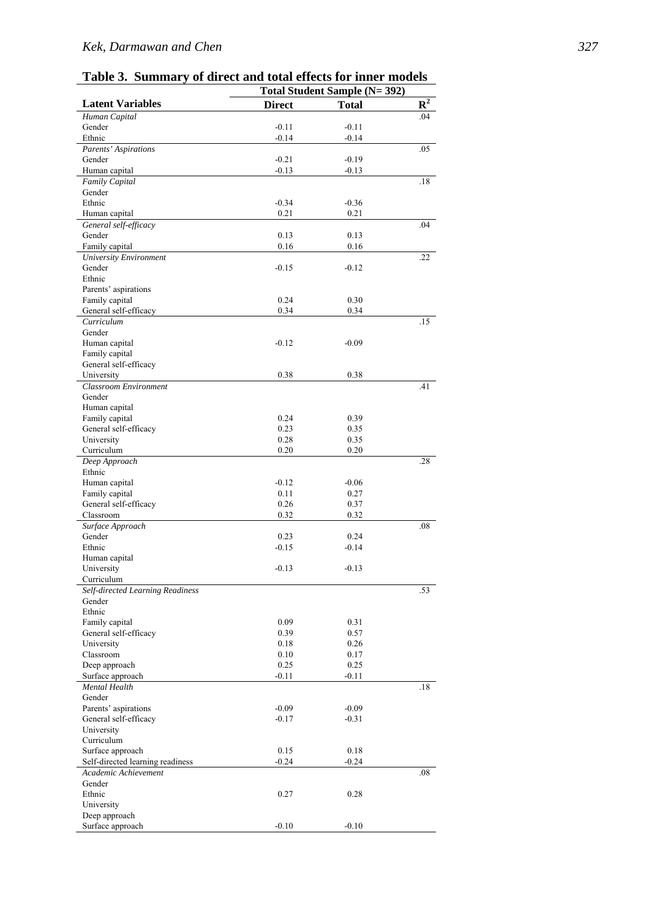### *Kek, Darmawan and Chen 327*

| Table 3. Summary of direct and total effects for inner models |  |  |  |  |
|---------------------------------------------------------------|--|--|--|--|
|                                                               |  |  |  |  |

|                                                          | Total Student Sample (N= 392) |              |                |  |  |  |
|----------------------------------------------------------|-------------------------------|--------------|----------------|--|--|--|
| <b>Latent Variables</b>                                  | <b>Direct</b>                 | <b>Total</b> | $\mathbb{R}^2$ |  |  |  |
| Human Capital                                            |                               |              | .04            |  |  |  |
| Gender                                                   | $-0.11$                       | $-0.11$      |                |  |  |  |
| Ethnic                                                   | $-0.14$                       | $-0.14$      |                |  |  |  |
| Parents' Aspirations                                     |                               |              | .05            |  |  |  |
| Gender                                                   | $-0.21$                       | $-0.19$      |                |  |  |  |
| Human capital                                            | $-0.13$                       | $-0.13$      |                |  |  |  |
| Family Capital                                           |                               |              | .18            |  |  |  |
| Gender                                                   |                               |              |                |  |  |  |
| Ethnic<br>Human capital                                  | $-0.34$                       | $-0.36$      |                |  |  |  |
| General self-efficacy                                    | 0.21                          | 0.21         | .04            |  |  |  |
| Gender                                                   | 0.13                          | 0.13         |                |  |  |  |
| Family capital                                           | 0.16                          | 0.16         |                |  |  |  |
| <b>University Environment</b>                            |                               |              | .22            |  |  |  |
| Gender                                                   | $-0.15$                       | $-0.12$      |                |  |  |  |
| Ethnic                                                   |                               |              |                |  |  |  |
| Parents' aspirations                                     |                               |              |                |  |  |  |
| Family capital                                           | 0.24                          | 0.30         |                |  |  |  |
| General self-efficacy                                    | 0.34                          | 0.34         |                |  |  |  |
| Curriculum                                               |                               |              | .15            |  |  |  |
| Gender                                                   |                               |              |                |  |  |  |
| Human capital                                            | $-0.12$                       | $-0.09$      |                |  |  |  |
| Family capital                                           |                               |              |                |  |  |  |
| General self-efficacy                                    |                               |              |                |  |  |  |
| University                                               | 0.38                          | 0.38         |                |  |  |  |
| <b>Classroom Environment</b>                             |                               |              | .41            |  |  |  |
| Gender                                                   |                               |              |                |  |  |  |
| Human capital                                            | 0.24                          | 0.39         |                |  |  |  |
| Family capital<br>General self-efficacy                  | 0.23                          | 0.35         |                |  |  |  |
| University                                               | 0.28                          | 0.35         |                |  |  |  |
| Curriculum                                               | 0.20                          | 0.20         |                |  |  |  |
| Deep Approach                                            |                               |              | .28            |  |  |  |
| Ethnic                                                   |                               |              |                |  |  |  |
| Human capital                                            | $-0.12$                       | $-0.06$      |                |  |  |  |
| Family capital                                           | 0.11                          | 0.27         |                |  |  |  |
| General self-efficacy                                    | 0.26                          | 0.37         |                |  |  |  |
| Classroom                                                | 0.32                          | 0.32         |                |  |  |  |
| Surface Approach                                         |                               |              | .08            |  |  |  |
| Gender                                                   | 0.23                          | 0.24         |                |  |  |  |
| Ethnic                                                   | $-0.15$                       | $-0.14$      |                |  |  |  |
| Human capital                                            |                               |              |                |  |  |  |
| University                                               | $-0.13$                       | $-0.13$      |                |  |  |  |
| Curriculum                                               |                               |              |                |  |  |  |
| Self-directed Learning Readiness<br>Gender               |                               |              | .53            |  |  |  |
| Ethnic                                                   |                               |              |                |  |  |  |
| Family capital                                           | 0.09                          | 0.31         |                |  |  |  |
| General self-efficacy                                    | 0.39                          | 0.57         |                |  |  |  |
| University                                               | 0.18                          | 0.26         |                |  |  |  |
| Classroom                                                | 0.10                          | 0.17         |                |  |  |  |
| Deep approach                                            | 0.25                          | 0.25         |                |  |  |  |
| Surface approach                                         | $-0.11$                       | $-0.11$      |                |  |  |  |
| <b>Mental Health</b>                                     |                               |              | .18            |  |  |  |
| Gender                                                   |                               |              |                |  |  |  |
| Parents' aspirations                                     | $-0.09$                       | $-0.09$      |                |  |  |  |
| General self-efficacy                                    | $-0.17$                       | $-0.31$      |                |  |  |  |
| University                                               |                               |              |                |  |  |  |
| Curriculum                                               |                               |              |                |  |  |  |
| Surface approach                                         | 0.15                          | 0.18         |                |  |  |  |
| Self-directed learning readiness<br>Academic Achievement | $-0.24$                       | $-0.24$      | .08            |  |  |  |
| Gender                                                   |                               |              |                |  |  |  |
| Ethnic                                                   | 0.27                          | 0.28         |                |  |  |  |
| University                                               |                               |              |                |  |  |  |
| Deep approach                                            |                               |              |                |  |  |  |
| Surface approach                                         | $-0.10$                       | $-0.10$      |                |  |  |  |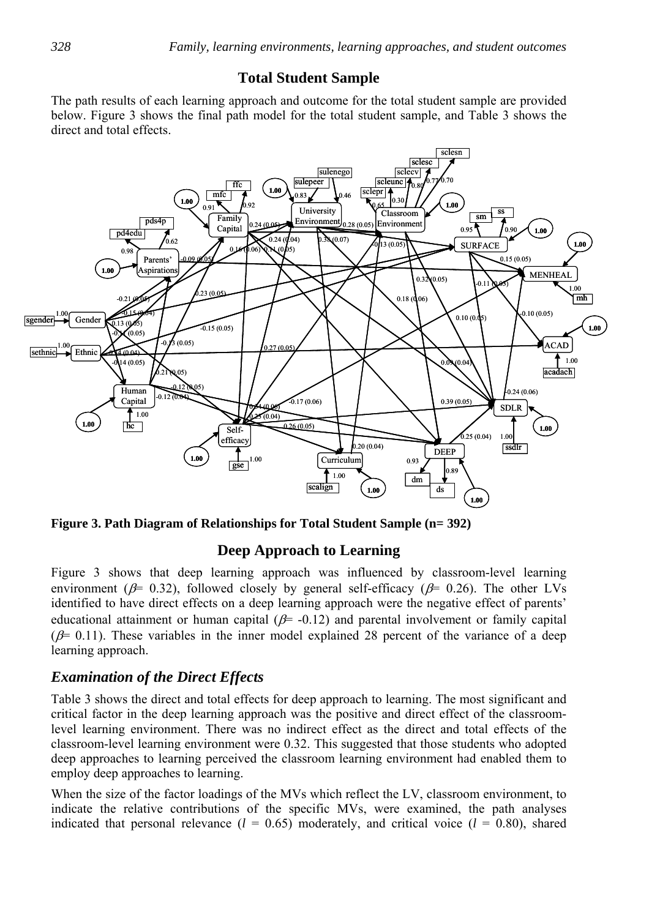## **Total Student Sample**

The path results of each learning approach and outcome for the total student sample are provided below. Figure 3 shows the final path model for the total student sample, and Table 3 shows the direct and total effects.



**Figure 3. Path Diagram of Relationships for Total Student Sample (n= 392)** 

### **Deep Approach to Learning**

Figure 3 shows that deep learning approach was influenced by classroom-level learning environment ( $\beta$ = 0.32), followed closely by general self-efficacy ( $\beta$ = 0.26). The other LVs identified to have direct effects on a deep learning approach were the negative effect of parents' educational attainment or human capital ( $\beta$ = -0.12) and parental involvement or family capital  $(\beta= 0.11)$ . These variables in the inner model explained 28 percent of the variance of a deep learning approach.

### *Examination of the Direct Effects*

Table 3 shows the direct and total effects for deep approach to learning. The most significant and critical factor in the deep learning approach was the positive and direct effect of the classroomlevel learning environment. There was no indirect effect as the direct and total effects of the classroom-level learning environment were 0.32. This suggested that those students who adopted deep approaches to learning perceived the classroom learning environment had enabled them to employ deep approaches to learning.

When the size of the factor loadings of the MVs which reflect the LV, classroom environment, to indicate the relative contributions of the specific MVs, were examined, the path analyses indicated that personal relevance  $(l = 0.65)$  moderately, and critical voice  $(l = 0.80)$ , shared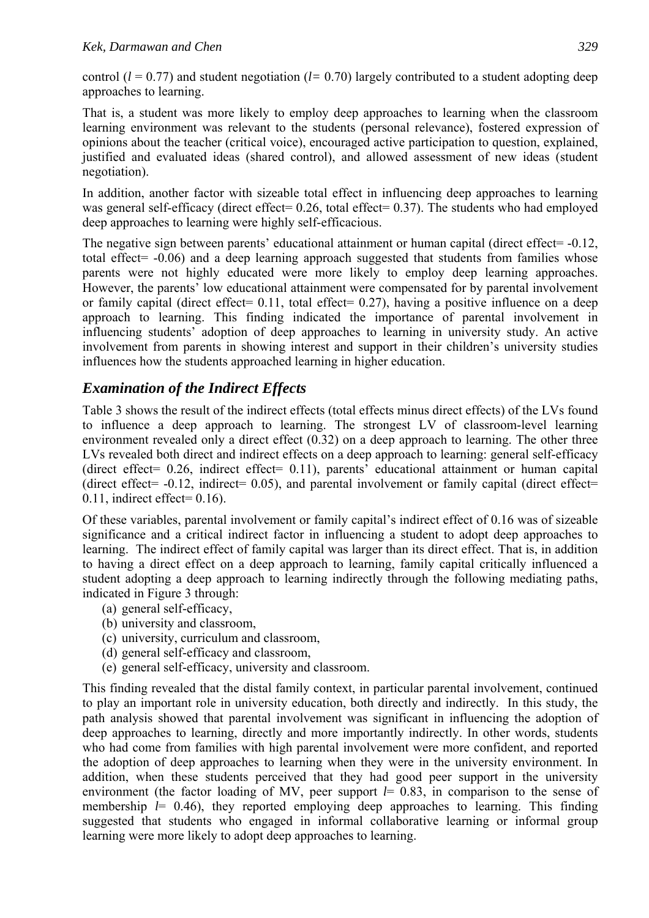control (*l* = 0.77) and student negotiation (*l=* 0.70) largely contributed to a student adopting deep approaches to learning.

That is, a student was more likely to employ deep approaches to learning when the classroom learning environment was relevant to the students (personal relevance), fostered expression of opinions about the teacher (critical voice), encouraged active participation to question, explained, justified and evaluated ideas (shared control), and allowed assessment of new ideas (student negotiation).

In addition, another factor with sizeable total effect in influencing deep approaches to learning was general self-efficacy (direct effect= 0.26, total effect= 0.37). The students who had employed deep approaches to learning were highly self-efficacious.

The negative sign between parents' educational attainment or human capital (direct effect= -0.12, total effect= -0.06) and a deep learning approach suggested that students from families whose parents were not highly educated were more likely to employ deep learning approaches. However, the parents' low educational attainment were compensated for by parental involvement or family capital (direct effect=  $0.11$ , total effect= 0.27), having a positive influence on a deep approach to learning. This finding indicated the importance of parental involvement in influencing students' adoption of deep approaches to learning in university study. An active involvement from parents in showing interest and support in their children's university studies influences how the students approached learning in higher education.

# *Examination of the Indirect Effects*

Table 3 shows the result of the indirect effects (total effects minus direct effects) of the LVs found to influence a deep approach to learning. The strongest LV of classroom-level learning environment revealed only a direct effect (0.32) on a deep approach to learning. The other three LVs revealed both direct and indirect effects on a deep approach to learning: general self-efficacy (direct effect= 0.26, indirect effect= 0.11), parents' educational attainment or human capital (direct effect=  $-0.12$ , indirect= 0.05), and parental involvement or family capital (direct effect=  $0.11$ , indirect effect=  $0.16$ ).

Of these variables, parental involvement or family capital's indirect effect of 0.16 was of sizeable significance and a critical indirect factor in influencing a student to adopt deep approaches to learning. The indirect effect of family capital was larger than its direct effect. That is, in addition to having a direct effect on a deep approach to learning, family capital critically influenced a student adopting a deep approach to learning indirectly through the following mediating paths, indicated in Figure 3 through:

- (a) general self-efficacy,
- (b) university and classroom,
- (c) university, curriculum and classroom,
- (d) general self-efficacy and classroom,
- (e) general self-efficacy, university and classroom.

This finding revealed that the distal family context, in particular parental involvement, continued to play an important role in university education, both directly and indirectly. In this study, the path analysis showed that parental involvement was significant in influencing the adoption of deep approaches to learning, directly and more importantly indirectly. In other words, students who had come from families with high parental involvement were more confident, and reported the adoption of deep approaches to learning when they were in the university environment. In addition, when these students perceived that they had good peer support in the university environment (the factor loading of MV, peer support  $l= 0.83$ , in comparison to the sense of membership  $l = 0.46$ ), they reported employing deep approaches to learning. This finding suggested that students who engaged in informal collaborative learning or informal group learning were more likely to adopt deep approaches to learning.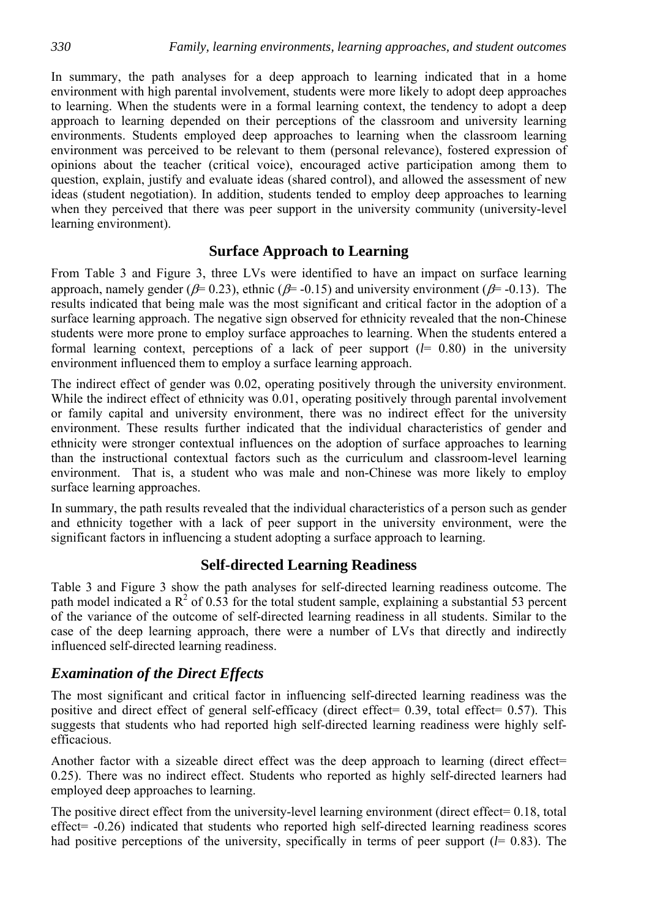In summary, the path analyses for a deep approach to learning indicated that in a home environment with high parental involvement, students were more likely to adopt deep approaches to learning. When the students were in a formal learning context, the tendency to adopt a deep approach to learning depended on their perceptions of the classroom and university learning environments. Students employed deep approaches to learning when the classroom learning environment was perceived to be relevant to them (personal relevance), fostered expression of opinions about the teacher (critical voice), encouraged active participation among them to question, explain, justify and evaluate ideas (shared control), and allowed the assessment of new ideas (student negotiation). In addition, students tended to employ deep approaches to learning when they perceived that there was peer support in the university community (university-level learning environment).

### **Surface Approach to Learning**

From Table 3 and Figure 3, three LVs were identified to have an impact on surface learning approach, namely gender ( $\beta$ = 0.23), ethnic ( $\beta$ = -0.15) and university environment ( $\beta$ = -0.13). The results indicated that being male was the most significant and critical factor in the adoption of a surface learning approach. The negative sign observed for ethnicity revealed that the non-Chinese students were more prone to employ surface approaches to learning. When the students entered a formal learning context, perceptions of a lack of peer support (*l*= 0.80) in the university environment influenced them to employ a surface learning approach.

The indirect effect of gender was 0.02, operating positively through the university environment. While the indirect effect of ethnicity was 0.01, operating positively through parental involvement or family capital and university environment, there was no indirect effect for the university environment. These results further indicated that the individual characteristics of gender and ethnicity were stronger contextual influences on the adoption of surface approaches to learning than the instructional contextual factors such as the curriculum and classroom-level learning environment. That is, a student who was male and non-Chinese was more likely to employ surface learning approaches.

In summary, the path results revealed that the individual characteristics of a person such as gender and ethnicity together with a lack of peer support in the university environment, were the significant factors in influencing a student adopting a surface approach to learning.

### **Self-directed Learning Readiness**

Table 3 and Figure 3 show the path analyses for self-directed learning readiness outcome. The path model indicated a  $\mathbb{R}^2$  of 0.53 for the total student sample, explaining a substantial 53 percent of the variance of the outcome of self-directed learning readiness in all students. Similar to the case of the deep learning approach, there were a number of LVs that directly and indirectly influenced self-directed learning readiness.

### *Examination of the Direct Effects*

The most significant and critical factor in influencing self-directed learning readiness was the positive and direct effect of general self-efficacy (direct effect= 0.39, total effect= 0.57). This suggests that students who had reported high self-directed learning readiness were highly selfefficacious.

Another factor with a sizeable direct effect was the deep approach to learning (direct effect= 0.25). There was no indirect effect. Students who reported as highly self-directed learners had employed deep approaches to learning.

The positive direct effect from the university-level learning environment (direct effect= 0.18, total effect= -0.26) indicated that students who reported high self-directed learning readiness scores had positive perceptions of the university, specifically in terms of peer support (*l*= 0.83). The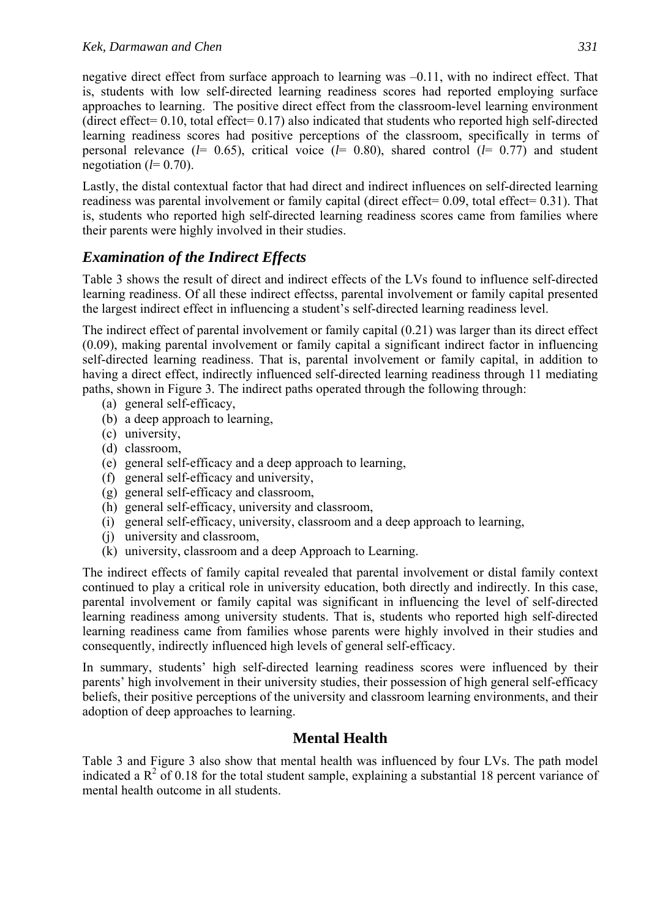negative direct effect from surface approach to learning was –0.11, with no indirect effect. That is, students with low self-directed learning readiness scores had reported employing surface approaches to learning. The positive direct effect from the classroom-level learning environment (direct effect=  $0.10$ , total effect=  $0.17$ ) also indicated that students who reported high self-directed learning readiness scores had positive perceptions of the classroom, specifically in terms of personal relevance (*l*= 0.65), critical voice (*l*= 0.80), shared control (*l*= 0.77) and student negotiation  $(l=0.70)$ .

Lastly, the distal contextual factor that had direct and indirect influences on self-directed learning readiness was parental involvement or family capital (direct effect= 0.09, total effect= 0.31). That is, students who reported high self-directed learning readiness scores came from families where their parents were highly involved in their studies.

# *Examination of the Indirect Effects*

Table 3 shows the result of direct and indirect effects of the LVs found to influence self-directed learning readiness. Of all these indirect effectss, parental involvement or family capital presented the largest indirect effect in influencing a student's self-directed learning readiness level.

The indirect effect of parental involvement or family capital (0.21) was larger than its direct effect (0.09), making parental involvement or family capital a significant indirect factor in influencing self-directed learning readiness. That is, parental involvement or family capital, in addition to having a direct effect, indirectly influenced self-directed learning readiness through 11 mediating paths, shown in Figure 3. The indirect paths operated through the following through:

- (a) general self-efficacy,
- (b) a deep approach to learning,
- (c) university,
- (d) classroom,
- (e) general self-efficacy and a deep approach to learning,
- (f) general self-efficacy and university,
- (g) general self-efficacy and classroom,
- (h) general self-efficacy, university and classroom,
- (i) general self-efficacy, university, classroom and a deep approach to learning,
- (j) university and classroom,
- (k) university, classroom and a deep Approach to Learning.

The indirect effects of family capital revealed that parental involvement or distal family context continued to play a critical role in university education, both directly and indirectly. In this case, parental involvement or family capital was significant in influencing the level of self-directed learning readiness among university students. That is, students who reported high self-directed learning readiness came from families whose parents were highly involved in their studies and consequently, indirectly influenced high levels of general self-efficacy.

In summary, students' high self-directed learning readiness scores were influenced by their parents' high involvement in their university studies, their possession of high general self-efficacy beliefs, their positive perceptions of the university and classroom learning environments, and their adoption of deep approaches to learning.

# **Mental Health**

Table 3 and Figure 3 also show that mental health was influenced by four LVs. The path model indicated a  $R^2$  of 0.18 for the total student sample, explaining a substantial 18 percent variance of mental health outcome in all students.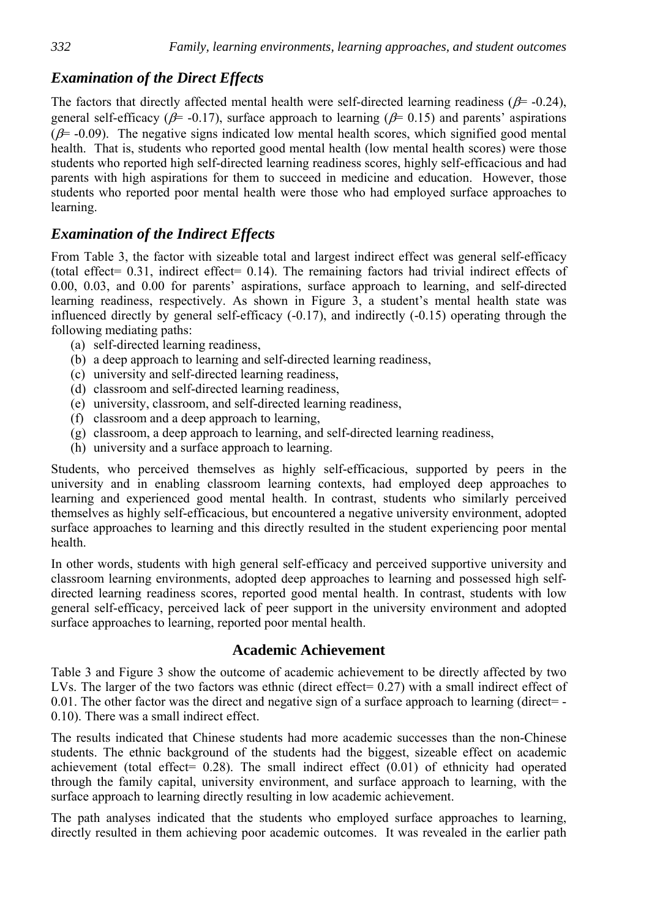# *Examination of the Direct Effects*

The factors that directly affected mental health were self-directed learning readiness ( $\beta$ = -0.24), general self-efficacy ( $\beta$ = -0.17), surface approach to learning ( $\beta$ = 0.15) and parents' aspirations  $(\beta$  = -0.09). The negative signs indicated low mental health scores, which signified good mental health. That is, students who reported good mental health (low mental health scores) were those students who reported high self-directed learning readiness scores, highly self-efficacious and had parents with high aspirations for them to succeed in medicine and education. However, those students who reported poor mental health were those who had employed surface approaches to learning.

# *Examination of the Indirect Effects*

From Table 3, the factor with sizeable total and largest indirect effect was general self-efficacy (total effect=  $0.31$ , indirect effect=  $0.14$ ). The remaining factors had trivial indirect effects of 0.00, 0.03, and 0.00 for parents' aspirations, surface approach to learning, and self-directed learning readiness, respectively. As shown in Figure 3, a student's mental health state was influenced directly by general self-efficacy (-0.17), and indirectly (-0.15) operating through the following mediating paths:

- (a) self-directed learning readiness,
- (b) a deep approach to learning and self-directed learning readiness,
- (c) university and self-directed learning readiness,
- (d) classroom and self-directed learning readiness,
- (e) university, classroom, and self-directed learning readiness,
- (f) classroom and a deep approach to learning,
- (g) classroom, a deep approach to learning, and self-directed learning readiness,
- (h) university and a surface approach to learning.

Students, who perceived themselves as highly self-efficacious, supported by peers in the university and in enabling classroom learning contexts, had employed deep approaches to learning and experienced good mental health. In contrast, students who similarly perceived themselves as highly self-efficacious, but encountered a negative university environment, adopted surface approaches to learning and this directly resulted in the student experiencing poor mental health.

In other words, students with high general self-efficacy and perceived supportive university and classroom learning environments, adopted deep approaches to learning and possessed high selfdirected learning readiness scores, reported good mental health. In contrast, students with low general self-efficacy, perceived lack of peer support in the university environment and adopted surface approaches to learning, reported poor mental health.

### **Academic Achievement**

Table 3 and Figure 3 show the outcome of academic achievement to be directly affected by two LVs. The larger of the two factors was ethnic (direct effect= 0.27) with a small indirect effect of 0.01. The other factor was the direct and negative sign of a surface approach to learning (direct= -0.10). There was a small indirect effect.

The results indicated that Chinese students had more academic successes than the non-Chinese students. The ethnic background of the students had the biggest, sizeable effect on academic achievement (total effect=  $0.28$ ). The small indirect effect  $(0.01)$  of ethnicity had operated through the family capital, university environment, and surface approach to learning, with the surface approach to learning directly resulting in low academic achievement.

The path analyses indicated that the students who employed surface approaches to learning, directly resulted in them achieving poor academic outcomes. It was revealed in the earlier path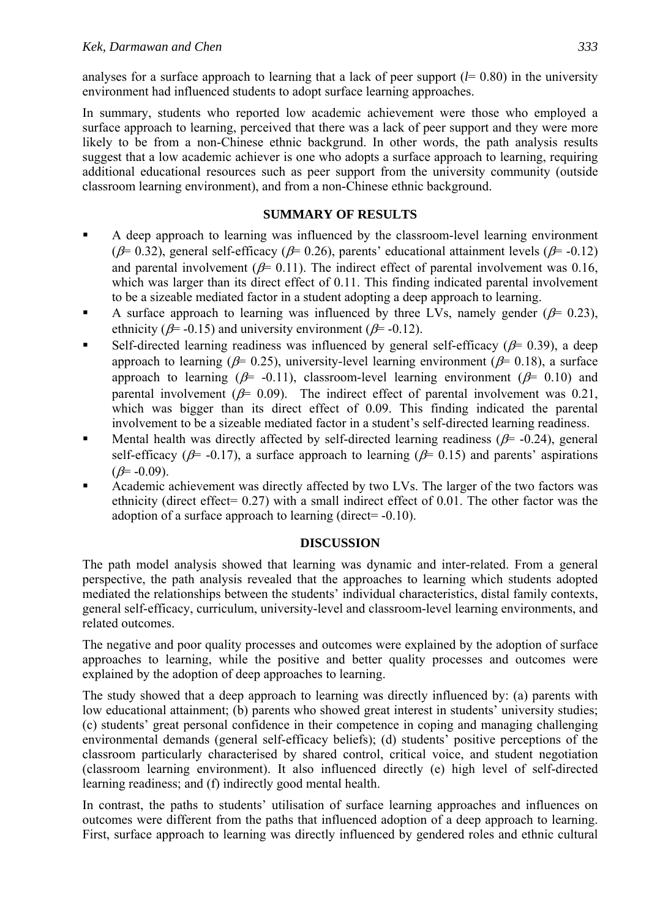analyses for a surface approach to learning that a lack of peer support  $(l= 0.80)$  in the university environment had influenced students to adopt surface learning approaches.

In summary, students who reported low academic achievement were those who employed a surface approach to learning, perceived that there was a lack of peer support and they were more likely to be from a non-Chinese ethnic backgrund. In other words, the path analysis results suggest that a low academic achiever is one who adopts a surface approach to learning, requiring additional educational resources such as peer support from the university community (outside classroom learning environment), and from a non-Chinese ethnic background.

#### **SUMMARY OF RESULTS**

- A deep approach to learning was influenced by the classroom-level learning environment ( $\beta$ = 0.32), general self-efficacy ( $\beta$ = 0.26), parents' educational attainment levels ( $\beta$ = -0.12) and parental involvement ( $\beta$ = 0.11). The indirect effect of parental involvement was 0.16, which was larger than its direct effect of 0.11. This finding indicated parental involvement to be a sizeable mediated factor in a student adopting a deep approach to learning.
- A surface approach to learning was influenced by three LVs, namely gender ( $\beta$ = 0.23), ethnicity ( $\beta$ = -0.15) and university environment ( $\beta$ = -0.12).
- Self-directed learning readiness was influenced by general self-efficacy ( $\beta$ = 0.39), a deep approach to learning ( $\beta$ = 0.25), university-level learning environment ( $\beta$ = 0.18), a surface approach to learning ( $\beta$ = -0.11), classroom-level learning environment ( $\beta$ = 0.10) and parental involvement ( $\beta$ = 0.09). The indirect effect of parental involvement was 0.21, which was bigger than its direct effect of 0.09. This finding indicated the parental involvement to be a sizeable mediated factor in a student's self-directed learning readiness.
- Mental health was directly affected by self-directed learning readiness ( $\beta$ = -0.24), general self-efficacy ( $\beta$ = -0.17), a surface approach to learning ( $\beta$ = 0.15) and parents' aspirations  $(\beta = -0.09)$ .
- Academic achievement was directly affected by two LVs. The larger of the two factors was ethnicity (direct effect= 0.27) with a small indirect effect of 0.01. The other factor was the adoption of a surface approach to learning (direct= -0.10).

#### **DISCUSSION**

The path model analysis showed that learning was dynamic and inter-related. From a general perspective, the path analysis revealed that the approaches to learning which students adopted mediated the relationships between the students' individual characteristics, distal family contexts, general self-efficacy, curriculum, university-level and classroom-level learning environments, and related outcomes.

The negative and poor quality processes and outcomes were explained by the adoption of surface approaches to learning, while the positive and better quality processes and outcomes were explained by the adoption of deep approaches to learning.

The study showed that a deep approach to learning was directly influenced by: (a) parents with low educational attainment; (b) parents who showed great interest in students' university studies; (c) students' great personal confidence in their competence in coping and managing challenging environmental demands (general self-efficacy beliefs); (d) students' positive perceptions of the classroom particularly characterised by shared control, critical voice, and student negotiation (classroom learning environment). It also influenced directly (e) high level of self-directed learning readiness; and (f) indirectly good mental health.

In contrast, the paths to students' utilisation of surface learning approaches and influences on outcomes were different from the paths that influenced adoption of a deep approach to learning. First, surface approach to learning was directly influenced by gendered roles and ethnic cultural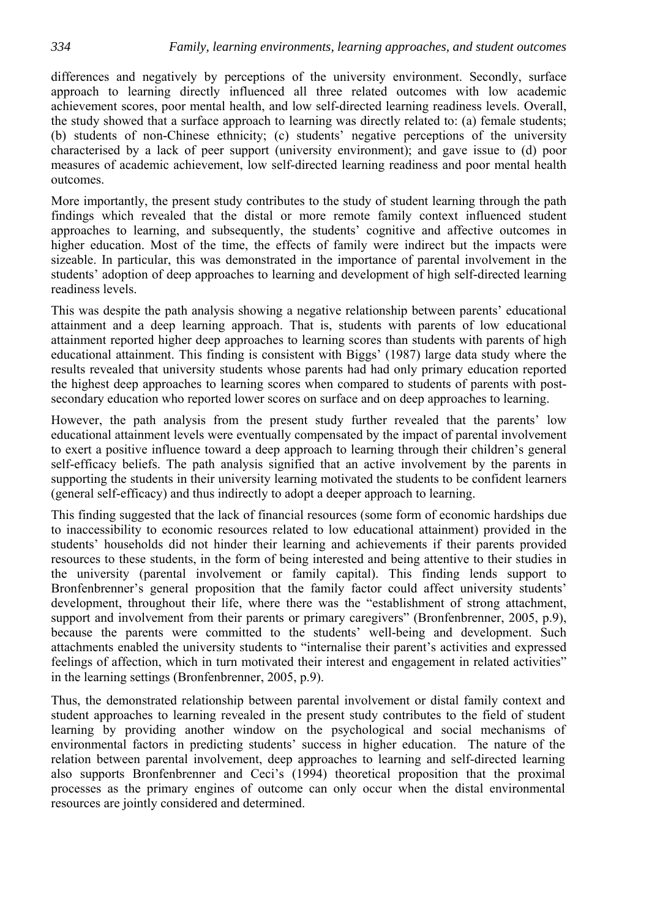differences and negatively by perceptions of the university environment. Secondly, surface approach to learning directly influenced all three related outcomes with low academic achievement scores, poor mental health, and low self-directed learning readiness levels. Overall, the study showed that a surface approach to learning was directly related to: (a) female students; (b) students of non-Chinese ethnicity; (c) students' negative perceptions of the university characterised by a lack of peer support (university environment); and gave issue to (d) poor measures of academic achievement, low self-directed learning readiness and poor mental health outcomes.

More importantly, the present study contributes to the study of student learning through the path findings which revealed that the distal or more remote family context influenced student approaches to learning, and subsequently, the students' cognitive and affective outcomes in higher education. Most of the time, the effects of family were indirect but the impacts were sizeable. In particular, this was demonstrated in the importance of parental involvement in the students' adoption of deep approaches to learning and development of high self-directed learning readiness levels.

This was despite the path analysis showing a negative relationship between parents' educational attainment and a deep learning approach. That is, students with parents of low educational attainment reported higher deep approaches to learning scores than students with parents of high educational attainment. This finding is consistent with Biggs' (1987) large data study where the results revealed that university students whose parents had had only primary education reported the highest deep approaches to learning scores when compared to students of parents with postsecondary education who reported lower scores on surface and on deep approaches to learning.

However, the path analysis from the present study further revealed that the parents' low educational attainment levels were eventually compensated by the impact of parental involvement to exert a positive influence toward a deep approach to learning through their children's general self-efficacy beliefs. The path analysis signified that an active involvement by the parents in supporting the students in their university learning motivated the students to be confident learners (general self-efficacy) and thus indirectly to adopt a deeper approach to learning.

This finding suggested that the lack of financial resources (some form of economic hardships due to inaccessibility to economic resources related to low educational attainment) provided in the students' households did not hinder their learning and achievements if their parents provided resources to these students, in the form of being interested and being attentive to their studies in the university (parental involvement or family capital). This finding lends support to Bronfenbrenner's general proposition that the family factor could affect university students' development, throughout their life, where there was the "establishment of strong attachment, support and involvement from their parents or primary caregivers" (Bronfenbrenner, 2005, p.9), because the parents were committed to the students' well-being and development. Such attachments enabled the university students to "internalise their parent's activities and expressed feelings of affection, which in turn motivated their interest and engagement in related activities" in the learning settings (Bronfenbrenner, 2005, p.9).

Thus, the demonstrated relationship between parental involvement or distal family context and student approaches to learning revealed in the present study contributes to the field of student learning by providing another window on the psychological and social mechanisms of environmental factors in predicting students' success in higher education. The nature of the relation between parental involvement, deep approaches to learning and self-directed learning also supports Bronfenbrenner and Ceci's (1994) theoretical proposition that the proximal processes as the primary engines of outcome can only occur when the distal environmental resources are jointly considered and determined.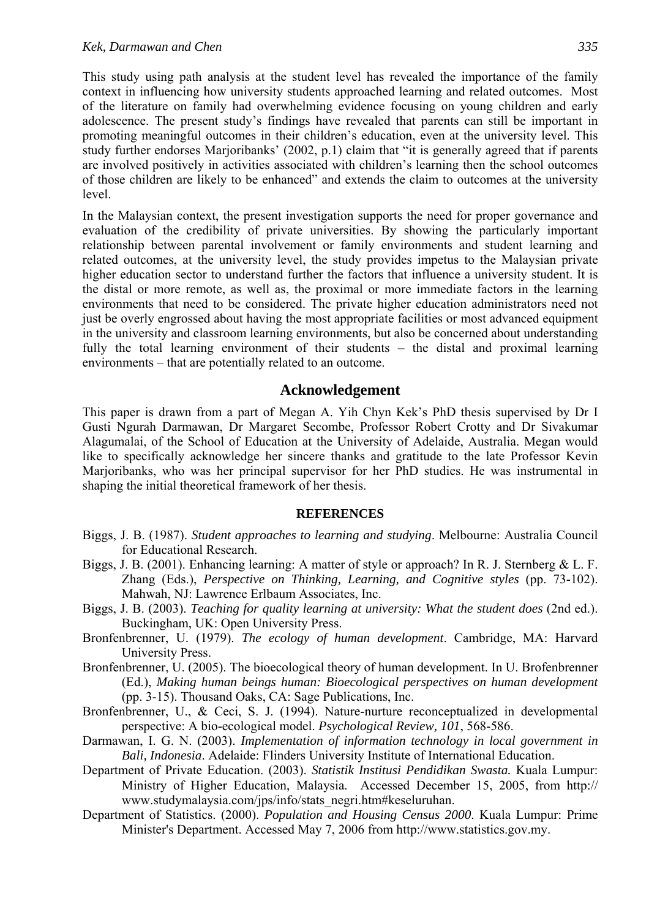This study using path analysis at the student level has revealed the importance of the family context in influencing how university students approached learning and related outcomes. Most of the literature on family had overwhelming evidence focusing on young children and early adolescence. The present study's findings have revealed that parents can still be important in promoting meaningful outcomes in their children's education, even at the university level. This study further endorses Marjoribanks' (2002, p.1) claim that "it is generally agreed that if parents are involved positively in activities associated with children's learning then the school outcomes of those children are likely to be enhanced" and extends the claim to outcomes at the university level.

In the Malaysian context, the present investigation supports the need for proper governance and evaluation of the credibility of private universities. By showing the particularly important relationship between parental involvement or family environments and student learning and related outcomes, at the university level, the study provides impetus to the Malaysian private higher education sector to understand further the factors that influence a university student. It is the distal or more remote, as well as, the proximal or more immediate factors in the learning environments that need to be considered. The private higher education administrators need not just be overly engrossed about having the most appropriate facilities or most advanced equipment in the university and classroom learning environments, but also be concerned about understanding fully the total learning environment of their students – the distal and proximal learning environments – that are potentially related to an outcome.

#### **Acknowledgement**

This paper is drawn from a part of Megan A. Yih Chyn Kek's PhD thesis supervised by Dr I Gusti Ngurah Darmawan, Dr Margaret Secombe, Professor Robert Crotty and Dr Sivakumar Alagumalai, of the School of Education at the University of Adelaide, Australia. Megan would like to specifically acknowledge her sincere thanks and gratitude to the late Professor Kevin Marjoribanks, who was her principal supervisor for her PhD studies. He was instrumental in shaping the initial theoretical framework of her thesis.

#### **REFERENCES**

- Biggs, J. B. (1987). *Student approaches to learning and studying*. Melbourne: Australia Council for Educational Research.
- Biggs, J. B. (2001). Enhancing learning: A matter of style or approach? In R. J. Sternberg & L. F. Zhang (Eds.), *Perspective on Thinking, Learning, and Cognitive styles* (pp. 73-102). Mahwah, NJ: Lawrence Erlbaum Associates, Inc.
- Biggs, J. B. (2003). *Teaching for quality learning at university: What the student does* (2nd ed.). Buckingham, UK: Open University Press.
- Bronfenbrenner, U. (1979). *The ecology of human development*. Cambridge, MA: Harvard University Press.
- Bronfenbrenner, U. (2005). The bioecological theory of human development. In U. Brofenbrenner (Ed.), *Making human beings human: Bioecological perspectives on human development* (pp. 3-15). Thousand Oaks, CA: Sage Publications, Inc.
- Bronfenbrenner, U., & Ceci, S. J. (1994). Nature-nurture reconceptualized in developmental perspective: A bio-ecological model. *Psychological Review, 101*, 568-586.
- Darmawan, I. G. N. (2003). *Implementation of information technology in local government in Bali, Indonesia*. Adelaide: Flinders University Institute of International Education.
- Department of Private Education. (2003). *Statistik Institusi Pendidikan Swasta.* Kuala Lumpur: Ministry of Higher Education, Malaysia. Accessed December 15, 2005, from http:// www.studymalaysia.com/jps/info/stats\_negri.htm#keseluruhan.
- Department of Statistics. (2000). *Population and Housing Census 2000*. Kuala Lumpur: Prime Minister's Department. Accessed May 7, 2006 from http://www.statistics.gov.my.